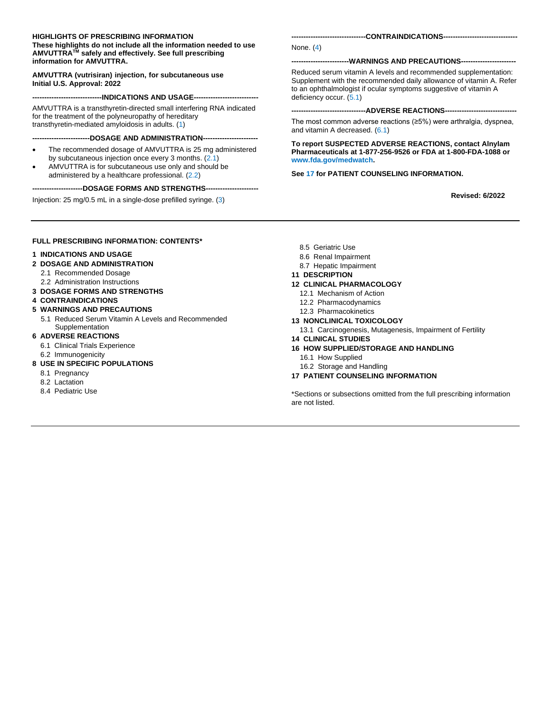#### **HIGHLIGHTS OF PRESCRIBING INFORMATION**

**These highlights do not include all the information needed to use AMVUTTRATM safely and effectively. See full prescribing information for AMVUTTRA.**

#### **AMVUTTRA (vutrisiran) injection, for subcutaneous use Initial U.S. Approval: 2022**

**-----------------------------INDICATIONS AND USAGE---------------------------**

AMVUTTRA is a transthyretin-directed small interfering RNA indicated for the treatment of the polyneuropathy of hereditary transthyretin-mediated amyloidosis in adults. [\(1\)](#page-1-0)

**------------------------DOSAGE AND ADMINISTRATION-----------------------**

- The recommended dosage of AMVUTTRA is 25 mg administered by subcutaneous injection once every 3 months. [\(2.1\)](#page-1-1)
- AMVUTTRA is for subcutaneous use only and should be administered by a healthcare professional. [\(2.2\)](#page-1-2)

#### ----DOSAGE FORMS AND STRENGTHS---

Injection: 25 mg/0.5 mL in a single-dose prefilled syringe. [\(3\)](#page-2-0)

**-------------------------------CONTRAINDICATIONS-------------------------------**

#### None. [\(4\)](#page-2-1)

#### **------------------------WARNINGS AND PRECAUTIONS-----------------------**

Reduced serum vitamin A levels and recommended supplementation: Supplement with the recommended daily allowance of vitamin A. Refer to an ophthalmologist if ocular symptoms suggestive of vitamin A deficiency occur. [\(5.1\)](#page-3-0)

#### **-------------------------------ADVERSE REACTIONS------------------------------**

The most common adverse reactions (≥5%) were arthralgia, dyspnea, and vitamin A decreased. [\(6.1\)](#page-3-1)

**To report SUSPECTED ADVERSE REACTIONS, contact Alnylam Pharmaceuticals at 1-877-256-9526 or FDA at 1-800-FDA-1088 or [www.fda.gov/medwatch.](http://www.fda.gov/medwatch)**

#### **Se[e 17](#page-10-0) for PATIENT COUNSELING INFORMATION.**

 **Revised: 6/2022**

#### **FULL PRESCRIBING INFORMATION: CONTENTS\***

#### **[1 INDICATIONS AND USAGE](#page-1-0)**

- **[2 DOSAGE AND ADMINISTRATION](#page-1-3)**
	- [2.1 Recommended Dosage](#page-1-1)
	- [2.2 Administration Instructions](#page-1-2)
- **[3 DOSAGE FORMS AND STRENGTHS](#page-2-0)**
- **[4 CONTRAINDICATIONS](#page-2-1)**

#### **[5 WARNINGS AND PRECAUTIONS](#page-3-2)**

5.1 Reduced Serum Vitamin [A Levels and Recommended](#page-3-0)  [Supplementation](#page-3-0)

#### **[6 ADVERSE REACTIONS](#page-3-3)**

- [6.1 Clinical Trials Experience](#page-3-1)
- [6.2 Immunogenicity](#page-3-4)
- **[8 USE IN SPECIFIC POPULATIONS](#page-4-0)**
	- [8.1 Pregnancy](#page-4-1)
	- [8.2 Lactation](#page-4-2)
	- [8.4 Pediatric Use](#page-4-3)
- [8.5 Geriatric Use](#page-4-4)
- 8.6 Renal [Impairment](#page-4-5)
- [8.7 Hepatic](#page-5-0) Impairment

#### **[11 DESCRIPTION](#page-5-0)**

#### **[12 CLINICAL PHARMACOLOGY](#page-5-1)**

- [12.1 Mechanism of Action](#page-5-2)
- [12.2 Pharmacodynamics](#page-5-3)
- [12.3 Pharmacokinetics](#page-6-0)

#### **[13 NONCLINICAL TOXICOLOGY](#page-7-0)**

- [13.1 Carcinogenesis, Mutagenesis, Impairment of Fertility](#page-7-1)
- **[14 CLINICAL STUDIES](#page-7-2)**
- **[16 HOW SUPPLIED/STORAGE AND HANDLING](#page-10-1)**
	- [16.1 How Supplied](#page-10-2)
- [16.2 Storage and Handling](#page-10-3)
- **[17 PATIENT COUNSELING INFORMATION](#page-10-0)**

\*Sections or subsections omitted from the full prescribing information are not listed.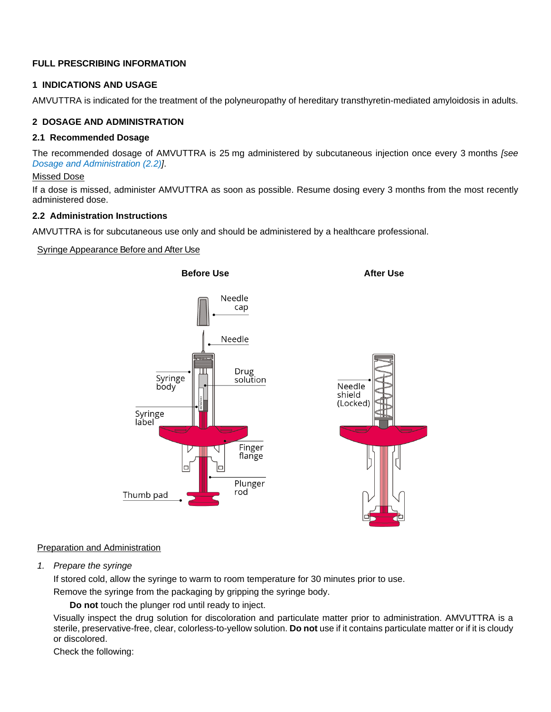# **FULL PRESCRIBING INFORMATION**

## <span id="page-1-0"></span>**1 INDICATIONS AND USAGE**

AMVUTTRA is indicated for the treatment of the polyneuropathy of hereditary transthyretin-mediated amyloidosis in adults.

## <span id="page-1-3"></span>**2 DOSAGE AND ADMINISTRATION**

### <span id="page-1-1"></span>**2.1 Recommended Dosage**

The recommended dosage of AMVUTTRA is 25 mg administered by subcutaneous injection once every 3 months *[see [Dosage and Administration \(2.2\)\]](#page-1-2)*.

### Missed Dose

If a dose is missed, administer AMVUTTRA as soon as possible. Resume dosing every 3 months from the most recently administered dose.

### <span id="page-1-2"></span>**2.2 Administration Instructions**

AMVUTTRA is for subcutaneous use only and should be administered by a healthcare professional.

### Syringe Appearance Before and After Use



#### Preparation and Administration

*1. Prepare the syringe*

If stored cold, allow the syringe to warm to room temperature for 30 minutes prior to use.

Remove the syringe from the packaging by gripping the syringe body.

**Do not** touch the plunger rod until ready to inject.

Visually inspect the drug solution for discoloration and particulate matter prior to administration. AMVUTTRA is a sterile, preservative-free, clear, colorless-to-yellow solution. **Do not** use if it contains particulate matter or if it is cloudy or discolored.

Check the following: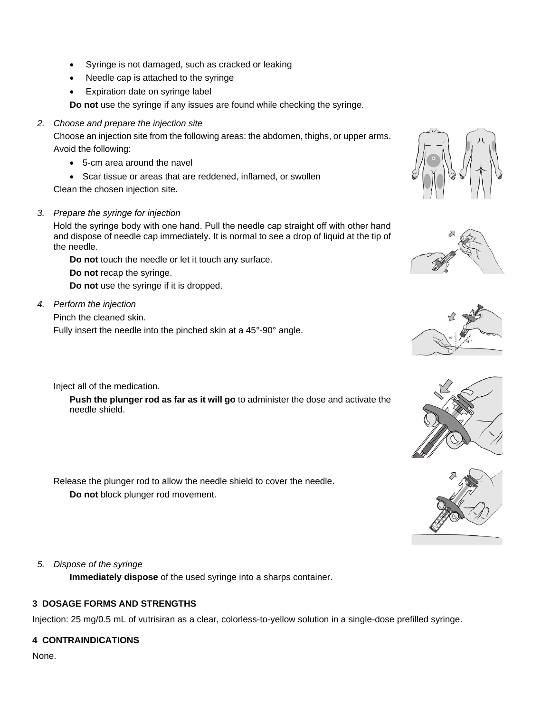- Syringe is not damaged, such as cracked or leaking
- Needle cap is attached to the syringe
- Expiration date on syringe label

**Do not** use the syringe if any issues are found while checking the syringe.

*2. Choose and prepare the injection site*

Choose an injection site from the following areas: the abdomen, thighs, or upper arms. Avoid the following:

- 5-cm area around the navel
- Scar tissue or areas that are reddened, inflamed, or swollen

Clean the chosen injection site.

*3. Prepare the syringe for injection*

Hold the syringe body with one hand. Pull the needle cap straight off with other hand and dispose of needle cap immediately. It is normal to see a drop of liquid at the tip of the needle.

**Do not** touch the needle or let it touch any surface.

**Do not** recap the syringe.

**Do not** use the syringe if it is dropped.

*4. Perform the injection*

Pinch the cleaned skin.

Fully insert the needle into the pinched skin at a 45°-90° angle.

Inject all of the medication.

**Push the plunger rod as far as it will go** to administer the dose and activate the needle shield.

Release the plunger rod to allow the needle shield to cover the needle. **Do not** block plunger rod movement.



**Immediately dispose** of the used syringe into a sharps container.

## <span id="page-2-0"></span>**3 DOSAGE FORMS AND STRENGTHS**

Injection: 25 mg/0.5 mL of vutrisiran as a clear, colorless-to-yellow solution in a single-dose prefilled syringe.

## <span id="page-2-1"></span>**4 CONTRAINDICATIONS**

None.







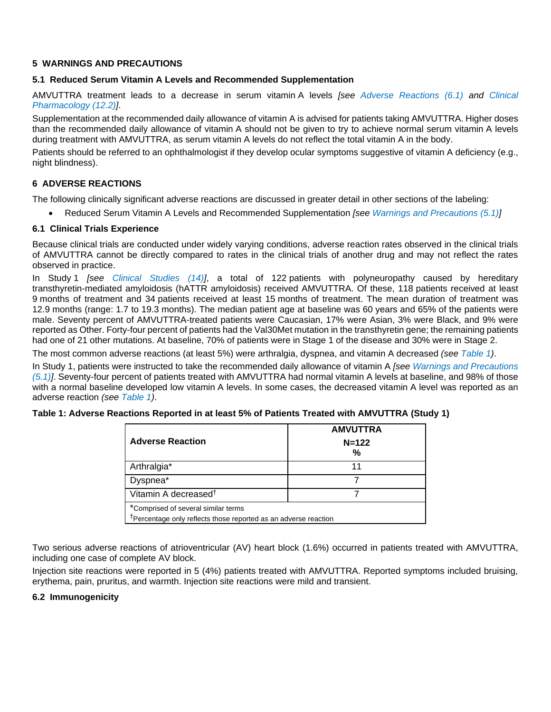#### <span id="page-3-2"></span>**5 WARNINGS AND PRECAUTIONS**

#### <span id="page-3-0"></span>**5.1 Reduced Serum Vitamin A Levels and Recommended Supplementation**

AMVUTTRA treatment leads to a decrease in serum vitamin A levels *[see [Adverse Reactions \(6.1\)](#page-3-5) and [Clinical](#page-5-3)  [Pharmacology \(12.2\)\]](#page-5-3)*.

Supplementation at the recommended daily allowance of vitamin A is advised for patients taking AMVUTTRA. Higher doses than the recommended daily allowance of vitamin A should not be given to try to achieve normal serum vitamin A levels during treatment with AMVUTTRA, as serum vitamin A levels do not reflect the total vitamin A in the body.

Patients should be referred to an ophthalmologist if they develop ocular symptoms suggestive of vitamin A deficiency (e.g., night blindness).

### <span id="page-3-3"></span>**6 ADVERSE REACTIONS**

The following clinically significant adverse reactions are discussed in greater detail in other sections of the labeling:

<span id="page-3-1"></span>• Reduced Serum Vitamin A Levels and Recommended Supplementation *[see [Warnings and Precautions \(5.1\)\]](#page-3-0)*

#### <span id="page-3-5"></span>**6.1 Clinical Trials Experience**

Because clinical trials are conducted under widely varying conditions, adverse reaction rates observed in the clinical trials of AMVUTTRA cannot be directly compared to rates in the clinical trials of another drug and may not reflect the rates observed in practice.

In Study 1 *[see [Clinical Studies \(14\)\]](#page-7-3)*, a total of 122 patients with polyneuropathy caused by hereditary transthyretin-mediated amyloidosis (hATTR amyloidosis) received AMVUTTRA. Of these, 118 patients received at least 9 months of treatment and 34 patients received at least 15 months of treatment. The mean duration of treatment was 12.9 months (range: 1.7 to 19.3 months). The median patient age at baseline was 60 years and 65% of the patients were male. Seventy percent of AMVUTTRA-treated patients were Caucasian, 17% were Asian, 3% were Black, and 9% were reported as Other. Forty-four percent of patients had the Val30Met mutation in the transthyretin gene; the remaining patients had one of 21 other mutations. At baseline, 70% of patients were in Stage 1 of the disease and 30% were in Stage 2.

The most common adverse reactions (at least 5%) were arthralgia, dyspnea, and vitamin A decreased *(see [Table](#page-3-6) 1)*.

In Study 1, patients were instructed to take the recommended daily allowance of vitamin A *[see [Warnings and Precautions](#page-3-0)  [\(5.1\)\]](#page-3-0)*. Seventy-four percent of patients treated with AMVUTTRA had normal vitamin A levels at baseline, and 98% of those with a normal baseline developed low vitamin A levels. In some cases, the decreased vitamin A level was reported as an adverse reaction *(see [Table](#page-3-6) 1)*.

| <b>Adverse Reaction</b>                                                                                            | <b>AMVUTTRA</b><br>$N = 122$<br>% |  |  |  |
|--------------------------------------------------------------------------------------------------------------------|-----------------------------------|--|--|--|
| Arthralgia*                                                                                                        | 11                                |  |  |  |
| Dyspnea*                                                                                                           |                                   |  |  |  |
| Vitamin A decreased <sup>†</sup>                                                                                   |                                   |  |  |  |
| *Comprised of several similar terms<br><sup>T</sup> Percentage only reflects those reported as an adverse reaction |                                   |  |  |  |

<span id="page-3-6"></span>**Table 1: Adverse Reactions Reported in at least 5% of Patients Treated with AMVUTTRA (Study 1)**

Two serious adverse reactions of atrioventricular (AV) heart block (1.6%) occurred in patients treated with AMVUTTRA, including one case of complete AV block.

Injection site reactions were reported in 5 (4%) patients treated with AMVUTTRA. Reported symptoms included bruising, erythema, pain, pruritus, and warmth. Injection site reactions were mild and transient.

#### <span id="page-3-4"></span>**6.2 Immunogenicity**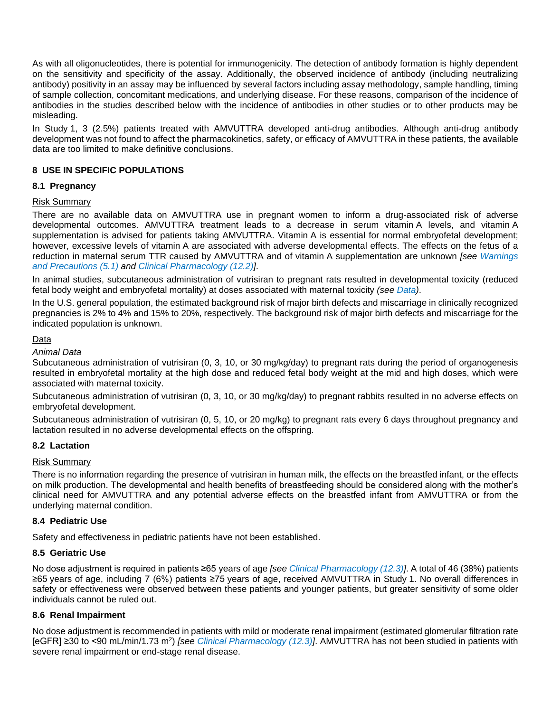As with all oligonucleotides, there is potential for immunogenicity. The detection of antibody formation is highly dependent on the sensitivity and specificity of the assay. Additionally, the observed incidence of antibody (including neutralizing antibody) positivity in an assay may be influenced by several factors including assay methodology, sample handling, timing of sample collection, concomitant medications, and underlying disease. For these reasons, comparison of the incidence of antibodies in the studies described below with the incidence of antibodies in other studies or to other products may be misleading.

In Study 1, 3 (2.5%) patients treated with AMVUTTRA developed anti-drug antibodies. Although anti-drug antibody development was not found to affect the pharmacokinetics, safety, or efficacy of AMVUTTRA in these patients, the available data are too limited to make definitive conclusions.

# <span id="page-4-0"></span>**8 USE IN SPECIFIC POPULATIONS**

## <span id="page-4-1"></span>**8.1 Pregnancy**

## Risk Summary

There are no available data on AMVUTTRA use in pregnant women to inform a drug-associated risk of adverse developmental outcomes. AMVUTTRA treatment leads to a decrease in serum vitamin A levels, and vitamin A supplementation is advised for patients taking AMVUTTRA. Vitamin A is essential for normal embryofetal development; however, excessive levels of vitamin A are associated with adverse developmental effects. The effects on the fetus of a reduction in maternal serum TTR caused by AMVUTTRA and of vitamin A supplementation are unknown *[see [Warnings](#page-3-0)  [and Precautions \(5.1\)](#page-3-0) and [Clinical Pharmacology \(12.2\)\]](#page-5-3)*.

In animal studies, subcutaneous administration of vutrisiran to pregnant rats resulted in developmental toxicity (reduced fetal body weight and embryofetal mortality) at doses associated with maternal toxicity *(see [Data\)](#page-4-6)*.

In the U.S. general population, the estimated background risk of major birth defects and miscarriage in clinically recognized pregnancies is 2% to 4% and 15% to 20%, respectively. The background risk of major birth defects and miscarriage for the indicated population is unknown.

### <span id="page-4-6"></span>Data

### *Animal Data*

Subcutaneous administration of vutrisiran (0, 3, 10, or 30 mg/kg/day) to pregnant rats during the period of organogenesis resulted in embryofetal mortality at the high dose and reduced fetal body weight at the mid and high doses, which were associated with maternal toxicity.

Subcutaneous administration of vutrisiran (0, 3, 10, or 30 mg/kg/day) to pregnant rabbits resulted in no adverse effects on embryofetal development.

Subcutaneous administration of vutrisiran (0, 5, 10, or 20 mg/kg) to pregnant rats every 6 days throughout pregnancy and lactation resulted in no adverse developmental effects on the offspring.

## <span id="page-4-2"></span>**8.2 Lactation**

### Risk Summary

There is no information regarding the presence of vutrisiran in human milk, the effects on the breastfed infant, or the effects on milk production. The developmental and health benefits of breastfeeding should be considered along with the mother's clinical need for AMVUTTRA and any potential adverse effects on the breastfed infant from AMVUTTRA or from the underlying maternal condition.

## <span id="page-4-3"></span>**8.4 Pediatric Use**

Safety and effectiveness in pediatric patients have not been established.

#### <span id="page-4-4"></span>**8.5 Geriatric Use**

No dose adjustment is required in patients ≥65 years of age *[see [Clinical Pharmacology \(12.3\)\]](#page-6-0)*. A total of 46 (38%) patients ≥65 years of age, including 7 (6%) patients ≥75 years of age, received AMVUTTRA in Study 1. No overall differences in safety or effectiveness were observed between these patients and younger patients, but greater sensitivity of some older individuals cannot be ruled out.

## <span id="page-4-5"></span>**8.6 Renal Impairment**

No dose adjustment is recommended in patients with mild or moderate renal impairment (estimated glomerular filtration rate [eGFR] ≥30 to <90 mL/min/1.73 m<sup>2</sup> ) *[see [Clinical Pharmacology \(12.3\)\]](#page-6-0)*. AMVUTTRA has not been studied in patients with severe renal impairment or end-stage renal disease.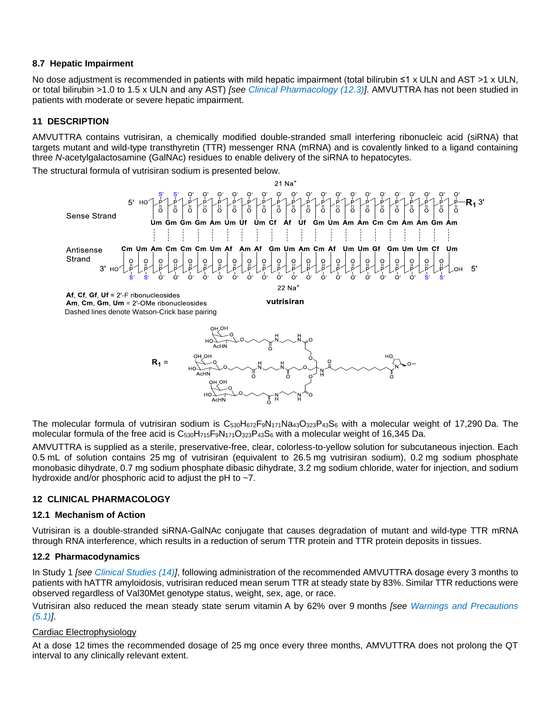### **8.7 Hepatic Impairment**

No dose adjustment is recommended in patients with mild hepatic impairment (total bilirubin ≤1 x ULN and AST >1 x ULN, or total bilirubin >1.0 to 1.5 x ULN and any AST) *[see [Clinical Pharmacology \(12.3\)\]](#page-6-0)*. AMVUTTRA has not been studied in patients with moderate or severe hepatic impairment.

# <span id="page-5-0"></span>**11 DESCRIPTION**

AMVUTTRA contains vutrisiran, a chemically modified double-stranded small interfering ribonucleic acid (siRNA) that targets mutant and wild-type transthyretin (TTR) messenger RNA (mRNA) and is covalently linked to a ligand containing three *N*-acetylgalactosamine (GalNAc) residues to enable delivery of the siRNA to hepatocytes.

The structural formula of vutrisiran sodium is presented below.





The molecular formula of vutrisiran sodium is C<sub>530</sub>H<sub>672</sub>F<sub>9</sub>N<sub>171</sub>Na<sub>43</sub>O<sub>323</sub>P<sub>43</sub>S<sub>6</sub> with a molecular weight of 17,290 Da. The molecular formula of the free acid is  $C_{530}H_{715}F_9N_{171}O_{323}P_{43}S_6$  with a molecular weight of 16,345 Da.

AMVUTTRA is supplied as a sterile, preservative-free, clear, colorless-to-yellow solution for subcutaneous injection. Each 0.5 mL of solution contains 25 mg of vutrisiran (equivalent to 26.5 mg vutrisiran sodium), 0.2 mg sodium phosphate monobasic dihydrate, 0.7 mg sodium phosphate dibasic dihydrate, 3.2 mg sodium chloride, water for injection, and sodium hydroxide and/or phosphoric acid to adjust the pH to ~7.

## <span id="page-5-1"></span>**12 CLINICAL PHARMACOLOGY**

## <span id="page-5-2"></span>**12.1 Mechanism of Action**

Vutrisiran is a double-stranded siRNA-GalNAc conjugate that causes degradation of mutant and wild-type TTR mRNA through RNA interference, which results in a reduction of serum TTR protein and TTR protein deposits in tissues.

## <span id="page-5-3"></span>**12.2 Pharmacodynamics**

In Study 1 *[see [Clinical Studies \(14\)\]](#page-7-3)*, following administration of the recommended AMVUTTRA dosage every 3 months to patients with hATTR amyloidosis, vutrisiran reduced mean serum TTR at steady state by 83%. Similar TTR reductions were observed regardless of Val30Met genotype status, weight, sex, age, or race.

Vutrisiran also reduced the mean steady state serum vitamin A by 62% over 9 months *[see [Warnings and Precautions](#page-3-0)  [\(5.1\)\]](#page-3-0)*.

## Cardiac Electrophysiology

At a dose 12 times the recommended dosage of 25 mg once every three months, AMVUTTRA does not prolong the QT interval to any clinically relevant extent.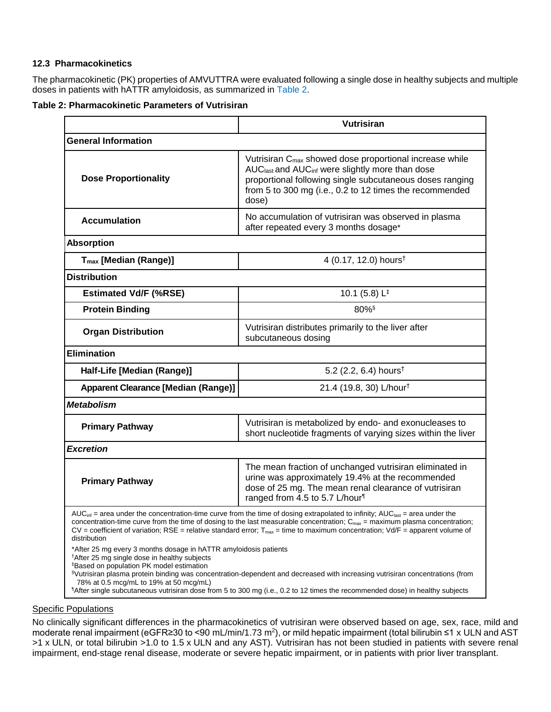## <span id="page-6-0"></span>**12.3 Pharmacokinetics**

The pharmacokinetic (PK) properties of AMVUTTRA were evaluated following a single dose in healthy subjects and multiple doses in patients with hATTR amyloidosis, as summarized in [Table](#page-6-1) 2.

#### <span id="page-6-1"></span>**Table 2: Pharmacokinetic Parameters of Vutrisiran**

|                                                                                                                                                                                                                                                                                                                                                                                                                                                                                               | Vutrisiran                                                                                                                                                                                                                                                                     |  |  |  |  |  |  |
|-----------------------------------------------------------------------------------------------------------------------------------------------------------------------------------------------------------------------------------------------------------------------------------------------------------------------------------------------------------------------------------------------------------------------------------------------------------------------------------------------|--------------------------------------------------------------------------------------------------------------------------------------------------------------------------------------------------------------------------------------------------------------------------------|--|--|--|--|--|--|
| <b>General Information</b>                                                                                                                                                                                                                                                                                                                                                                                                                                                                    |                                                                                                                                                                                                                                                                                |  |  |  |  |  |  |
| <b>Dose Proportionality</b>                                                                                                                                                                                                                                                                                                                                                                                                                                                                   | Vutrisiran C <sub>max</sub> showed dose proportional increase while<br>AUC <sub>last</sub> and AUC <sub>inf</sub> were slightly more than dose<br>proportional following single subcutaneous doses ranging<br>from 5 to 300 mg (i.e., 0.2 to 12 times the recommended<br>dose) |  |  |  |  |  |  |
| <b>Accumulation</b>                                                                                                                                                                                                                                                                                                                                                                                                                                                                           | No accumulation of vutrisiran was observed in plasma<br>after repeated every 3 months dosage*                                                                                                                                                                                  |  |  |  |  |  |  |
| <b>Absorption</b>                                                                                                                                                                                                                                                                                                                                                                                                                                                                             |                                                                                                                                                                                                                                                                                |  |  |  |  |  |  |
| T <sub>max</sub> [Median (Range)]                                                                                                                                                                                                                                                                                                                                                                                                                                                             | 4 (0.17, 12.0) hours <sup>†</sup>                                                                                                                                                                                                                                              |  |  |  |  |  |  |
| <b>Distribution</b>                                                                                                                                                                                                                                                                                                                                                                                                                                                                           |                                                                                                                                                                                                                                                                                |  |  |  |  |  |  |
| <b>Estimated Vd/F (%RSE)</b>                                                                                                                                                                                                                                                                                                                                                                                                                                                                  | 10.1 (5.8) $L^{\ddagger}$                                                                                                                                                                                                                                                      |  |  |  |  |  |  |
| <b>Protein Binding</b>                                                                                                                                                                                                                                                                                                                                                                                                                                                                        | 80% <sup>§</sup>                                                                                                                                                                                                                                                               |  |  |  |  |  |  |
| <b>Organ Distribution</b>                                                                                                                                                                                                                                                                                                                                                                                                                                                                     | Vutrisiran distributes primarily to the liver after<br>subcutaneous dosing                                                                                                                                                                                                     |  |  |  |  |  |  |
| <b>Elimination</b>                                                                                                                                                                                                                                                                                                                                                                                                                                                                            |                                                                                                                                                                                                                                                                                |  |  |  |  |  |  |
| Half-Life [Median (Range)]                                                                                                                                                                                                                                                                                                                                                                                                                                                                    | 5.2 (2.2, 6.4) hours <sup>†</sup>                                                                                                                                                                                                                                              |  |  |  |  |  |  |
| <b>Apparent Clearance [Median (Range)]</b>                                                                                                                                                                                                                                                                                                                                                                                                                                                    | 21.4 (19.8, 30) L/hour <sup>†</sup>                                                                                                                                                                                                                                            |  |  |  |  |  |  |
| <b>Metabolism</b>                                                                                                                                                                                                                                                                                                                                                                                                                                                                             |                                                                                                                                                                                                                                                                                |  |  |  |  |  |  |
| <b>Primary Pathway</b>                                                                                                                                                                                                                                                                                                                                                                                                                                                                        | Vutrisiran is metabolized by endo- and exonucleases to<br>short nucleotide fragments of varying sizes within the liver                                                                                                                                                         |  |  |  |  |  |  |
| <b>Excretion</b>                                                                                                                                                                                                                                                                                                                                                                                                                                                                              |                                                                                                                                                                                                                                                                                |  |  |  |  |  |  |
| <b>Primary Pathway</b>                                                                                                                                                                                                                                                                                                                                                                                                                                                                        | The mean fraction of unchanged vutrisiran eliminated in<br>urine was approximately 19.4% at the recommended<br>dose of 25 mg. The mean renal clearance of vutrisiran<br>ranged from 4.5 to 5.7 L/hour                                                                          |  |  |  |  |  |  |
| AUC <sub>inf</sub> = area under the concentration-time curve from the time of dosing extrapolated to infinity; AUC <sub>iast</sub> = area under the<br>concentration-time curve from the time of dosing to the last measurable concentration; $C_{\text{max}}$ = maximum plasma concentration;<br>$CV = coefficient$ of variation; RSE = relative standard error; $T_{max}$ = time to maximum concentration; $Vd/F =$ apparent volume of<br>distribution                                      |                                                                                                                                                                                                                                                                                |  |  |  |  |  |  |
| *After 25 mg every 3 months dosage in hATTR amyloidosis patients<br><sup>†</sup> After 25 mg single dose in healthy subjects<br><sup>‡</sup> Based on population PK model estimation<br>Vutrisiran plasma protein binding was concentration-dependent and decreased with increasing vutrisiran concentrations (from<br>78% at 0.5 mcg/mL to 19% at 50 mcg/mL)<br>"After single subcutaneous vutrisiran dose from 5 to 300 mg (i.e., 0.2 to 12 times the recommended dose) in healthy subjects |                                                                                                                                                                                                                                                                                |  |  |  |  |  |  |

#### **Specific Populations**

No clinically significant differences in the pharmacokinetics of vutrisiran were observed based on age, sex, race, mild and moderate renal impairment (eGFR≥30 to <90 mL/min/1.73 m²), or mild hepatic impairment (total bilirubin ≤1 x ULN and AST >1 x ULN, or total bilirubin >1.0 to 1.5 x ULN and any AST). Vutrisiran has not been studied in patients with severe renal impairment, end-stage renal disease, moderate or severe hepatic impairment, or in patients with prior liver transplant.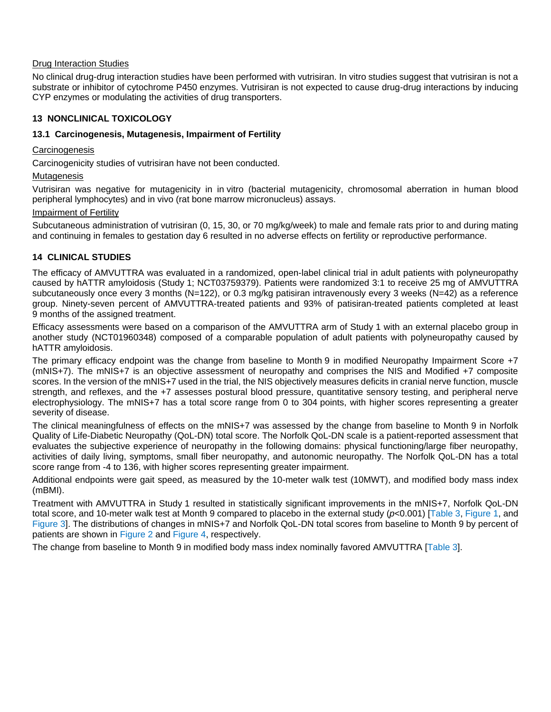## Drug Interaction Studies

No clinical drug-drug interaction studies have been performed with vutrisiran. In vitro studies suggest that vutrisiran is not a substrate or inhibitor of cytochrome P450 enzymes. Vutrisiran is not expected to cause drug-drug interactions by inducing CYP enzymes or modulating the activities of drug transporters.

# <span id="page-7-0"></span>**13 NONCLINICAL TOXICOLOGY**

## <span id="page-7-1"></span>**13.1 Carcinogenesis, Mutagenesis, Impairment of Fertility**

## <span id="page-7-2"></span>**Carcinogenesis**

Carcinogenicity studies of vutrisiran have not been conducted.

### Mutagenesis

Vutrisiran was negative for mutagenicity in in vitro (bacterial mutagenicity, chromosomal aberration in human blood peripheral lymphocytes) and in vivo (rat bone marrow micronucleus) assays.

### Impairment of Fertility

Subcutaneous administration of vutrisiran (0, 15, 30, or 70 mg/kg/week) to male and female rats prior to and during mating and continuing in females to gestation day 6 resulted in no adverse effects on fertility or reproductive performance.

# <span id="page-7-3"></span>**14 CLINICAL STUDIES**

The efficacy of AMVUTTRA was evaluated in a randomized, open-label clinical trial in adult patients with polyneuropathy caused by hATTR amyloidosis (Study 1; NCT03759379). Patients were randomized 3:1 to receive 25 mg of AMVUTTRA subcutaneously once every 3 months (N=122), or 0.3 mg/kg patisiran intravenously every 3 weeks (N=42) as a reference group. Ninety-seven percent of AMVUTTRA-treated patients and 93% of patisiran-treated patients completed at least 9 months of the assigned treatment.

Efficacy assessments were based on a comparison of the AMVUTTRA arm of Study 1 with an external placebo group in another study (NCT01960348) composed of a comparable population of adult patients with polyneuropathy caused by hATTR amyloidosis.

The primary efficacy endpoint was the change from baseline to Month 9 in modified Neuropathy Impairment Score +7 (mNIS+7). The mNIS+7 is an objective assessment of neuropathy and comprises the NIS and Modified +7 composite scores. In the version of the mNIS+7 used in the trial, the NIS objectively measures deficits in cranial nerve function, muscle strength, and reflexes, and the +7 assesses postural blood pressure, quantitative sensory testing, and peripheral nerve electrophysiology. The mNIS+7 has a total score range from 0 to 304 points, with higher scores representing a greater severity of disease.

The clinical meaningfulness of effects on the mNIS+7 was assessed by the change from baseline to Month 9 in Norfolk Quality of Life-Diabetic Neuropathy (QoL-DN) total score. The Norfolk QoL-DN scale is a patient-reported assessment that evaluates the subjective experience of neuropathy in the following domains: physical functioning/large fiber neuropathy, activities of daily living, symptoms, small fiber neuropathy, and autonomic neuropathy. The Norfolk QoL-DN has a total score range from -4 to 136, with higher scores representing greater impairment.

Additional endpoints were gait speed, as measured by the 10-meter walk test (10MWT), and modified body mass index (mBMI).

Treatment with AMVUTTRA in Study 1 resulted in statistically significant improvements in the mNIS+7, Norfolk QoL-DN total score, and 10-meter walk test at Month 9 compared to placebo in the external study (*p*<0.001) [\[Table](#page-8-0) 3, [Figure](#page-8-1) 1, and [Figure](#page-9-0) 3]. The distributions of changes in mNIS+7 and Norfolk QoL-DN total scores from baseline to Month 9 by percent of patients are shown in [Figure](#page-8-2) 2 and [Figure](#page-9-1) 4, respectively.

The change from baseline to Month 9 in modified body mass index nominally favored AMVUTTRA [\[Table](#page-8-0) 3].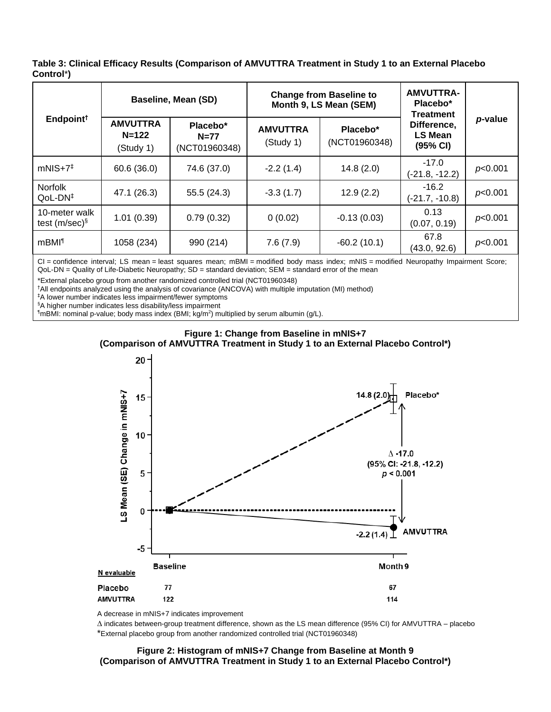<span id="page-8-0"></span>**Table 3: Clinical Efficacy Results (Comparison of AMVUTTRA Treatment in Study 1 to an External Placebo Control**\***)**

| Endpoint <sup>†</sup>             | <b>Baseline, Mean (SD)</b>                |                                     | <b>Change from Baseline to</b><br>Month 9, LS Mean (SEM) |                           | <b>AMVUTTRA-</b><br>Placebo*<br><b>Treatment</b> |         |
|-----------------------------------|-------------------------------------------|-------------------------------------|----------------------------------------------------------|---------------------------|--------------------------------------------------|---------|
|                                   | <b>AMVUTTRA</b><br>$N = 122$<br>(Study 1) | Placebo*<br>$N=77$<br>(NCT01960348) | <b>AMVUTTRA</b><br>(Study 1)                             | Placebo*<br>(NCT01960348) | Difference,<br>LS Mean<br>(95% CI)               | p-value |
| $mNIS+7^{\ddagger}$               | 60.6(36.0)                                | 74.6 (37.0)                         | $-2.2(1.4)$                                              | 14.8(2.0)                 | $-17.0$<br>$(-21.8, -12.2)$                      | p<0.001 |
| <b>Norfolk</b><br>$QoL-DN‡$       | 47.1 (26.3)                               | 55.5(24.3)                          | $-3.3(1.7)$                                              | 12.9(2.2)                 | $-16.2$<br>$(-21.7, -10.8)$                      | p<0.001 |
| 10-meter walk<br>test (m/sec) $§$ | 1.01(0.39)                                | 0.79(0.32)                          | 0(0.02)                                                  | $-0.13(0.03)$             | 0.13<br>(0.07, 0.19)                             | p<0.001 |
| mBMI <sup>1</sup>                 | 1058 (234)                                | 990 (214)                           | 7.6(7.9)                                                 | $-60.2(10.1)$             | 67.8<br>(43.0, 92.6)                             | p<0.001 |

CI = confidence interval; LS mean = least squares mean; mBMI = modified body mass index; mNIS = modified Neuropathy Impairment Score; QoL-DN = Quality of Life-Diabetic Neuropathy; SD = standard deviation; SEM = standard error of the mean

\*External placebo group from another randomized controlled trial (NCT01960348)

†All endpoints analyzed using the analysis of covariance (ANCOVA) with multiple imputation (MI) method)

‡A lower number indicates less impairment/fewer symptoms

§A higher number indicates less disability/less impairment

<span id="page-8-1"></span>¶mBMI: nominal p-value; body mass index (BMI; kg/m<sup>2</sup> ) multiplied by serum albumin (g/L).





A decrease in mNIS+7 indicates improvement

<span id="page-8-2"></span> $\Delta$  indicates between-group treatment difference, shown as the LS mean difference (95% CI) for AMVUTTRA – placebo \*External placebo group from another randomized controlled trial (NCT01960348)

**Figure 2: Histogram of mNIS+7 Change from Baseline at Month 9 (Comparison of AMVUTTRA Treatment in Study 1 to an External Placebo Control\*)**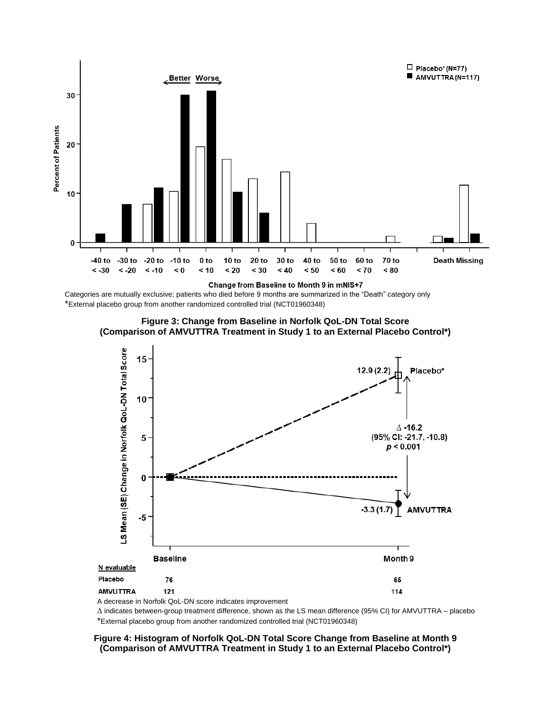

Categories are mutually exclusive; patients who died before 9 months are summarized in the "Death" category only \*External placebo group from another randomized controlled trial (NCT01960348)



<span id="page-9-0"></span>

A decrease in Norfolk QoL-DN score indicates improvement

 $\Delta$  indicates between-group treatment difference, shown as the LS mean difference (95% CI) for AMVUTTRA – placebo \*External placebo group from another randomized controlled trial (NCT01960348)

#### <span id="page-9-1"></span>**Figure 4: Histogram of Norfolk QoL-DN Total Score Change from Baseline at Month 9 (Comparison of AMVUTTRA Treatment in Study 1 to an External Placebo Control\*)**